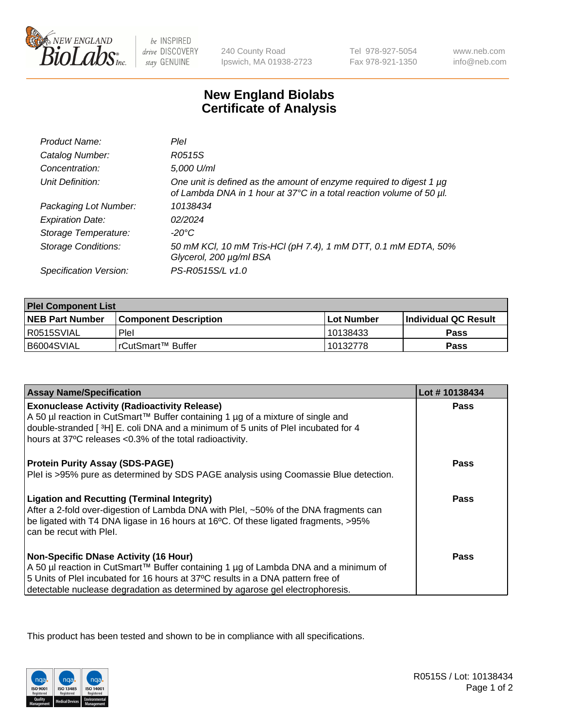

 $be$  INSPIRED drive DISCOVERY stay GENUINE

240 County Road Ipswich, MA 01938-2723 Tel 978-927-5054 Fax 978-921-1350

www.neb.com info@neb.com

## **New England Biolabs Certificate of Analysis**

| Product Name:              | Plel                                                                                                                                        |
|----------------------------|---------------------------------------------------------------------------------------------------------------------------------------------|
| Catalog Number:            | R0515S                                                                                                                                      |
| Concentration:             | 5,000 U/ml                                                                                                                                  |
| Unit Definition:           | One unit is defined as the amount of enzyme required to digest 1 µg<br>of Lambda DNA in 1 hour at 37°C in a total reaction volume of 50 µl. |
| Packaging Lot Number:      | 10138434                                                                                                                                    |
| <b>Expiration Date:</b>    | 02/2024                                                                                                                                     |
| Storage Temperature:       | -20°C                                                                                                                                       |
| <b>Storage Conditions:</b> | 50 mM KCl, 10 mM Tris-HCl (pH 7.4), 1 mM DTT, 0.1 mM EDTA, 50%<br>Glycerol, 200 µg/ml BSA                                                   |
| Specification Version:     | PS-R0515S/L v1.0                                                                                                                            |

| <b>Plel Component List</b> |                              |              |                       |  |
|----------------------------|------------------------------|--------------|-----------------------|--|
| <b>NEB Part Number</b>     | <b>Component Description</b> | l Lot Number | ∣Individual QC Result |  |
| R0515SVIAL                 | Plel                         | 10138433     | Pass                  |  |
| B6004SVIAL                 | l rCutSmart™ Buffer          | 10132778     | Pass                  |  |

| <b>Assay Name/Specification</b>                                                      | Lot #10138434 |
|--------------------------------------------------------------------------------------|---------------|
| <b>Exonuclease Activity (Radioactivity Release)</b>                                  | Pass          |
| A 50 µl reaction in CutSmart™ Buffer containing 1 µg of a mixture of single and      |               |
| double-stranded [3H] E. coli DNA and a minimum of 5 units of PleI incubated for 4    |               |
| hours at 37°C releases <0.3% of the total radioactivity.                             |               |
| <b>Protein Purity Assay (SDS-PAGE)</b>                                               | <b>Pass</b>   |
| PleI is >95% pure as determined by SDS PAGE analysis using Coomassie Blue detection. |               |
| <b>Ligation and Recutting (Terminal Integrity)</b>                                   | Pass          |
| After a 2-fold over-digestion of Lambda DNA with Plel, ~50% of the DNA fragments can |               |
| be ligated with T4 DNA ligase in 16 hours at 16°C. Of these ligated fragments, >95%  |               |
| can be recut with Plel.                                                              |               |
| <b>Non-Specific DNase Activity (16 Hour)</b>                                         | <b>Pass</b>   |
| A 50 µl reaction in CutSmart™ Buffer containing 1 µg of Lambda DNA and a minimum of  |               |
| 5 Units of PleI incubated for 16 hours at 37°C results in a DNA pattern free of      |               |
| detectable nuclease degradation as determined by agarose gel electrophoresis.        |               |

This product has been tested and shown to be in compliance with all specifications.